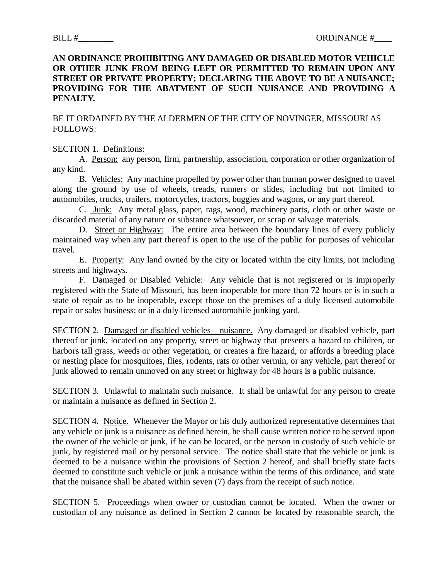## **AN ORDINANCE PROHIBITING ANY DAMAGED OR DISABLED MOTOR VEHICLE OR OTHER JUNK FROM BEING LEFT OR PERMITTED TO REMAIN UPON ANY STREET OR PRIVATE PROPERTY; DECLARING THE ABOVE TO BE A NUISANCE; PROVIDING FOR THE ABATMENT OF SUCH NUISANCE AND PROVIDING A PENALTY.**

## BE IT ORDAINED BY THE ALDERMEN OF THE CITY OF NOVINGER, MISSOURI AS FOLLOWS:

## SECTION 1. Definitions:

A. Person: any person, firm, partnership, association, corporation or other organization of any kind.

B. Vehicles: Any machine propelled by power other than human power designed to travel along the ground by use of wheels, treads, runners or slides, including but not limited to automobiles, trucks, trailers, motorcycles, tractors, buggies and wagons, or any part thereof.

C. Junk: Any metal glass, paper, rags, wood, machinery parts, cloth or other waste or discarded material of any nature or substance whatsoever, or scrap or salvage materials.

D. Street or Highway: The entire area between the boundary lines of every publicly maintained way when any part thereof is open to the use of the public for purposes of vehicular travel.

E. Property: Any land owned by the city or located within the city limits, not including streets and highways.

F. Damaged or Disabled Vehicle: Any vehicle that is not registered or is improperly registered with the State of Missouri, has been inoperable for more than 72 hours or is in such a state of repair as to be inoperable, except those on the premises of a duly licensed automobile repair or sales business; or in a duly licensed automobile junking yard.

SECTION 2. Damaged or disabled vehicles—nuisance. Any damaged or disabled vehicle, part thereof or junk, located on any property, street or highway that presents a hazard to children, or harbors tall grass, weeds or other vegetation, or creates a fire hazard, or affords a breeding place or nesting place for mosquitoes, flies, rodents, rats or other vermin, or any vehicle, part thereof or junk allowed to remain unmoved on any street or highway for 48 hours is a public nuisance.

SECTION 3. Unlawful to maintain such nuisance. It shall be unlawful for any person to create or maintain a nuisance as defined in Section 2.

SECTION 4. Notice. Whenever the Mayor or his duly authorized representative determines that any vehicle or junk is a nuisance as defined herein, he shall cause written notice to be served upon the owner of the vehicle or junk, if he can be located, or the person in custody of such vehicle or junk, by registered mail or by personal service. The notice shall state that the vehicle or junk is deemed to be a nuisance within the provisions of Section 2 hereof, and shall briefly state facts deemed to constitute such vehicle or junk a nuisance within the terms of this ordinance, and state that the nuisance shall be abated within seven (7) days from the receipt of such notice.

SECTION 5. Proceedings when owner or custodian cannot be located. When the owner or custodian of any nuisance as defined in Section 2 cannot be located by reasonable search, the